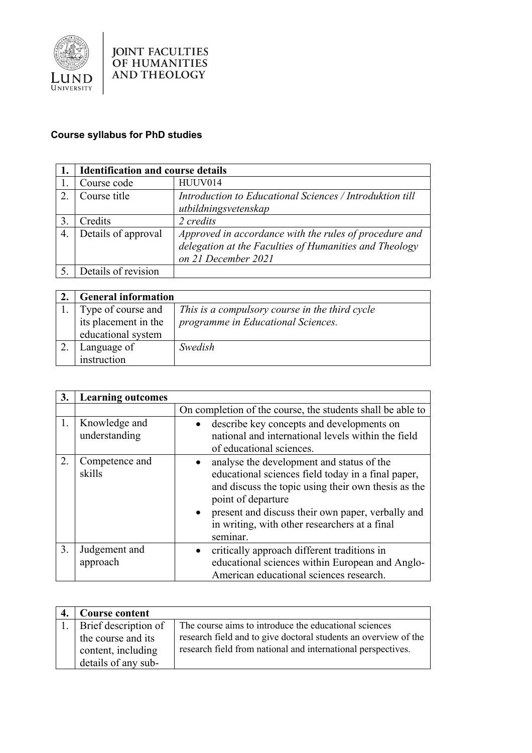

## **Course syllabus for PhD studies**

|                       | <b>Identification and course details</b> |                                                                                                                                         |
|-----------------------|------------------------------------------|-----------------------------------------------------------------------------------------------------------------------------------------|
|                       | Course code                              | HUUV014                                                                                                                                 |
| $\mathcal{D}_{\cdot}$ | Course title                             | Introduction to Educational Sciences / Introduktion till<br>utbildningsvetenskap                                                        |
|                       | Credits                                  | 2 credits                                                                                                                               |
| 4.                    | Details of approval                      | Approved in accordance with the rules of procedure and<br>delegation at the Faculties of Humanities and Theology<br>on 21 December 2021 |
|                       | Details of revision                      |                                                                                                                                         |

| <b>General information</b> |                                                |
|----------------------------|------------------------------------------------|
| Type of course and         | This is a compulsory course in the third cycle |
| its placement in the       | programme in Educational Sciences.             |
| educational system         |                                                |
| Language of                | Swedish                                        |
| instruction                |                                                |

| 3. | <b>Learning outcomes</b>       |                                                                                                                                                                                                                                                                                                  |
|----|--------------------------------|--------------------------------------------------------------------------------------------------------------------------------------------------------------------------------------------------------------------------------------------------------------------------------------------------|
|    |                                | On completion of the course, the students shall be able to                                                                                                                                                                                                                                       |
| 1. | Knowledge and<br>understanding | describe key concepts and developments on<br>national and international levels within the field<br>of educational sciences.                                                                                                                                                                      |
| 2. | Competence and<br>skills       | analyse the development and status of the<br>educational sciences field today in a final paper,<br>and discuss the topic using their own thesis as the<br>point of departure<br>• present and discuss their own paper, verbally and<br>in writing, with other researchers at a final<br>seminar. |
| 3. | Judgement and<br>approach      | critically approach different traditions in<br>educational sciences within European and Anglo-<br>American educational sciences research.                                                                                                                                                        |

| <b>Course content</b>   |                                                                 |
|-------------------------|-----------------------------------------------------------------|
| 1. Brief description of | The course aims to introduce the educational sciences           |
| the course and its      | research field and to give doctoral students an overview of the |
| content, including      | research field from national and international perspectives.    |
| details of any sub-     |                                                                 |